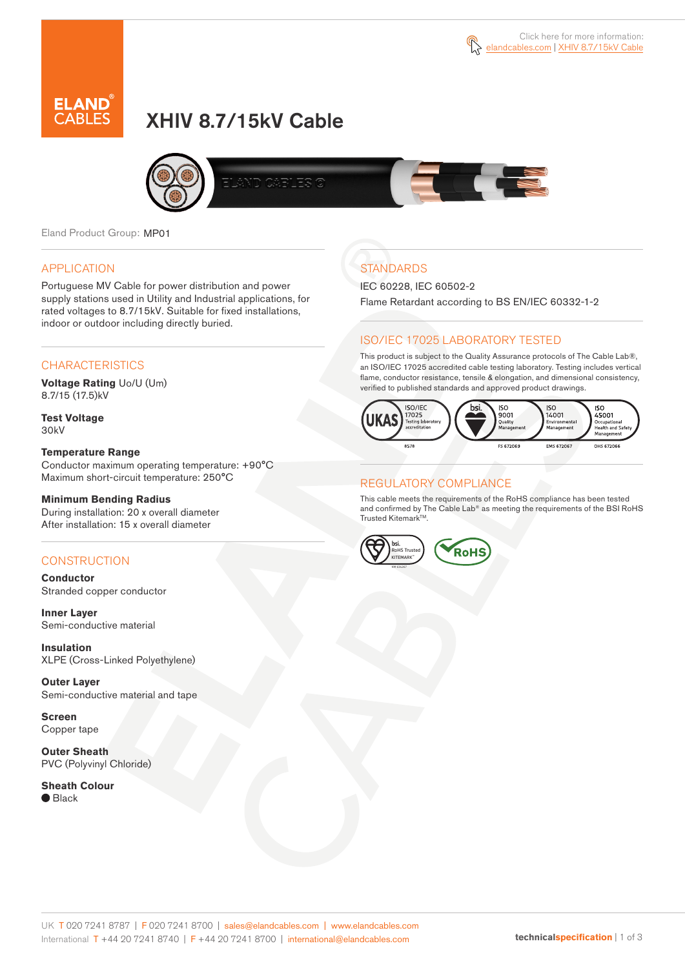



# XHIV 8.7/15kV Cable



Eland Product Group: MP01

### APPLICATION

Portuguese MV Cable for power distribution and power supply stations used in Utility and Industrial applications, for rated voltages to 8.7/15kV. Suitable for fixed installations, indoor or outdoor including directly buried.

### **CHARACTERISTICS**

**Voltage Rating** Uo/U (Um) 8.7/15 (17.5)kV

**Test Voltage** 30kV

#### **Temperature Range**

Conductor maximum operating temperature: +90°C Maximum short-circuit temperature: 250°C

#### **Minimum Bending Radius**

During installation: 20 x overall diameter After installation: 15 x overall diameter

### **CONSTRUCTION**

**Conductor** Stranded copper conductor

**Inner Layer** Semi-conductive material

**Insulation** XLPE (Cross-Linked Polyethylene)

**Outer Layer** Semi-conductive material and tape

**Screen** Copper tape

**Outer Sheath** PVC (Polyvinyl Chloride)

**Sheath Colour** ● Black

# **STANDARDS**

IEC 60228, IEC 60502-2

Flame Retardant according to BS EN/IEC 60332-1-2

### ISO/IEC 17025 LABORATORY TESTED

This product is subject to the Quality Assurance protocols of The Cable Lab®, an ISO/IEC 17025 accredited cable testing laboratory. Testing includes vertical flame, conductor resistance, tensile & elongation, and dimensional consistency, verified to published standards and approved product drawings.



### REGULATORY COMPLIANCE

This cable meets the requirements of the RoHS compliance has been tested and confirmed by The Cable Lab® as meeting the requirements of the BSI RoHS Trusted Kitemark™.

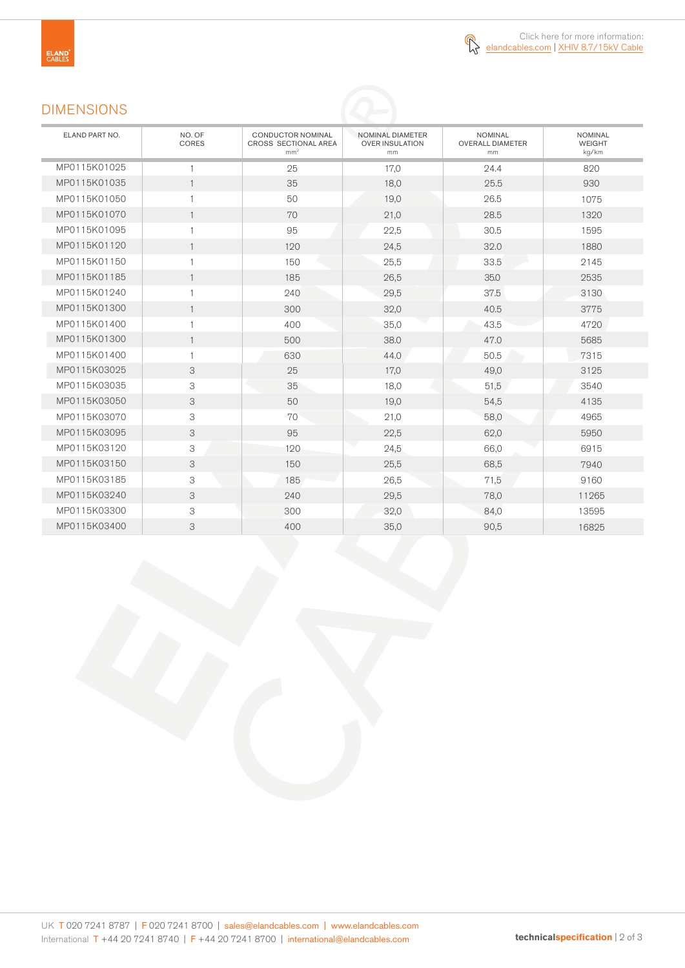### DIMENSIONS

| ELAND PART NO. | NO. OF<br>CORES | <b>CONDUCTOR NOMINAL</b><br>CROSS SECTIONAL AREA<br>mm <sup>2</sup> | NOMINAL DIAMETER<br><b>OVER INSULATION</b><br>mm | <b>NOMINAL</b><br><b>OVERALL DIAMETER</b><br>mm | <b>NOMINAL</b><br><b>WEIGHT</b><br>kg/km |
|----------------|-----------------|---------------------------------------------------------------------|--------------------------------------------------|-------------------------------------------------|------------------------------------------|
| MP0115K01025   | $\mathbf{1}$    | 25                                                                  | 17,0                                             | 24.4                                            | 820                                      |
| MP0115K01035   | $\mathbf{1}$    | 35                                                                  | 18,0                                             | 25.5                                            | 930                                      |
| MP0115K01050   | $\mathbf{1}$    | 50                                                                  | 19,0                                             | 26.5                                            | 1075                                     |
| MP0115K01070   | $\mathbf{1}$    | 70                                                                  | 21,0                                             | 28.5                                            | 1320                                     |
| MP0115K01095   | $\mathbf{1}$    | 95                                                                  | 22,5                                             | 30.5                                            | 1595                                     |
| MP0115K01120   | $\mathbf{1}$    | 120                                                                 | 24,5                                             | 32.0                                            | 1880                                     |
| MP0115K01150   | $\mathbf{1}$    | 150                                                                 | 25,5                                             | 33.5                                            | 2145                                     |
| MP0115K01185   | $\mathbf{1}$    | 185                                                                 | 26,5                                             | 35.0                                            | 2535                                     |
| MP0115K01240   | $\mathbf{1}$    | 240                                                                 | 29,5                                             | 37.5                                            | 3130                                     |
| MP0115K01300   | $\mathbf{1}$    | 300                                                                 | 32,0                                             | 40.5                                            | 3775                                     |
| MP0115K01400   | $\mathbf{1}$    | 400                                                                 | 35,0                                             | 43.5                                            | 4720                                     |
| MP0115K01300   | $\mathbf{1}$    | 500                                                                 | 38.0                                             | 47.0                                            | 5685                                     |
| MP0115K01400   | $\mathbf{1}$    | 630                                                                 | 44.0                                             | 50.5                                            | 7315                                     |
| MP0115K03025   | 3               | 25                                                                  | 17,0                                             | 49,0                                            | 3125                                     |
| MP0115K03035   | 3               | 35                                                                  | 18,0                                             | 51,5                                            | 3540                                     |
| MP0115K03050   | 3               | 50                                                                  | 19,0                                             | 54,5                                            | 4135                                     |
| MP0115K03070   | 3               | 70                                                                  | 21,0                                             | 58,0                                            | 4965                                     |
| MP0115K03095   | 3               | 95                                                                  | 22,5                                             | 62,0                                            | 5950                                     |
| MP0115K03120   | 3               | 120                                                                 | 24,5                                             | 66,0                                            | 6915                                     |
| MP0115K03150   | 3               | 150                                                                 | 25,5                                             | 68,5                                            | 7940                                     |
| MP0115K03185   | 3               | 185                                                                 | 26,5                                             | 71,5                                            | 9160                                     |
| MP0115K03240   | 3               | 240                                                                 | 29,5                                             | 78,0                                            | 11265                                    |
| MP0115K03300   | 3               | 300                                                                 | 32,0                                             | 84,0                                            | 13595                                    |
| MP0115K03400   | 3               | 400                                                                 | 35,0                                             | 90,5                                            | 16825                                    |